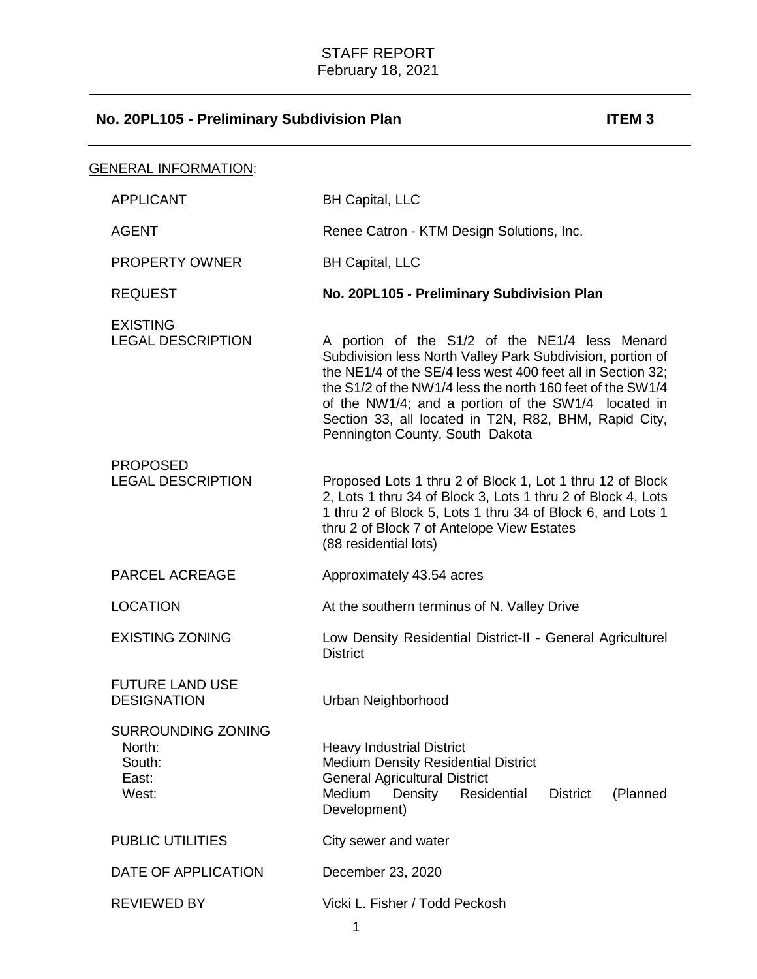| <u>GENERAL INFORMATION:</u>                                     |                                                                                                                                                                                                                                                                                                                                                                                              |
|-----------------------------------------------------------------|----------------------------------------------------------------------------------------------------------------------------------------------------------------------------------------------------------------------------------------------------------------------------------------------------------------------------------------------------------------------------------------------|
| <b>APPLICANT</b>                                                | <b>BH Capital, LLC</b>                                                                                                                                                                                                                                                                                                                                                                       |
| <b>AGENT</b>                                                    | Renee Catron - KTM Design Solutions, Inc.                                                                                                                                                                                                                                                                                                                                                    |
| <b>PROPERTY OWNER</b>                                           | <b>BH Capital, LLC</b>                                                                                                                                                                                                                                                                                                                                                                       |
| <b>REQUEST</b>                                                  | No. 20PL105 - Preliminary Subdivision Plan                                                                                                                                                                                                                                                                                                                                                   |
| <b>EXISTING</b><br><b>LEGAL DESCRIPTION</b>                     | A portion of the S1/2 of the NE1/4 less Menard<br>Subdivision less North Valley Park Subdivision, portion of<br>the NE1/4 of the SE/4 less west 400 feet all in Section 32;<br>the S1/2 of the NW1/4 less the north 160 feet of the SW1/4<br>of the NW1/4; and a portion of the SW1/4 located in<br>Section 33, all located in T2N, R82, BHM, Rapid City,<br>Pennington County, South Dakota |
| <b>PROPOSED</b><br><b>LEGAL DESCRIPTION</b>                     | Proposed Lots 1 thru 2 of Block 1, Lot 1 thru 12 of Block<br>2, Lots 1 thru 34 of Block 3, Lots 1 thru 2 of Block 4, Lots<br>1 thru 2 of Block 5, Lots 1 thru 34 of Block 6, and Lots 1<br>thru 2 of Block 7 of Antelope View Estates<br>(88 residential lots)                                                                                                                               |
| PARCEL ACREAGE                                                  | Approximately 43.54 acres                                                                                                                                                                                                                                                                                                                                                                    |
| <b>LOCATION</b>                                                 | At the southern terminus of N. Valley Drive                                                                                                                                                                                                                                                                                                                                                  |
| <b>EXISTING ZONING</b>                                          | Low Density Residential District-II - General Agriculturel<br><b>District</b>                                                                                                                                                                                                                                                                                                                |
| <b>FUTURE LAND USE</b><br><b>DESIGNATION</b>                    | Urban Neighborhood                                                                                                                                                                                                                                                                                                                                                                           |
| <b>SURROUNDING ZONING</b><br>North:<br>South:<br>East:<br>West: | <b>Heavy Industrial District</b><br><b>Medium Density Residential District</b><br><b>General Agricultural District</b><br>Density<br>Medium<br>Residential<br><b>District</b><br>(Planned<br>Development)                                                                                                                                                                                    |
| <b>PUBLIC UTILITIES</b>                                         | City sewer and water                                                                                                                                                                                                                                                                                                                                                                         |
| DATE OF APPLICATION                                             | December 23, 2020                                                                                                                                                                                                                                                                                                                                                                            |
| <b>REVIEWED BY</b>                                              | Vicki L. Fisher / Todd Peckosh<br>1                                                                                                                                                                                                                                                                                                                                                          |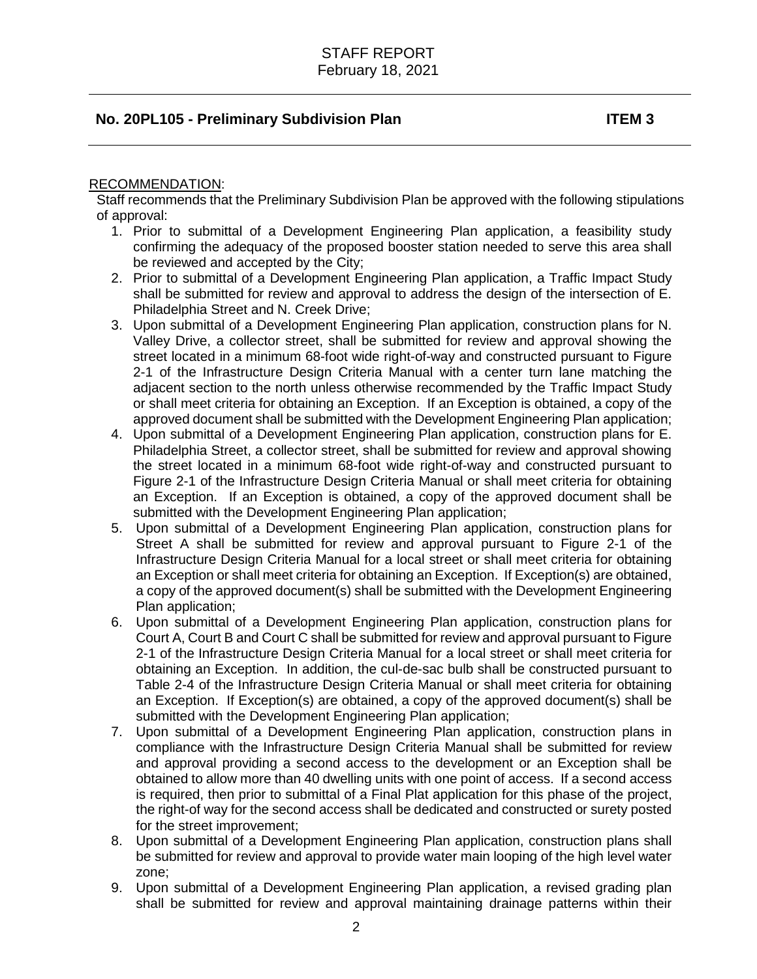#### RECOMMENDATION:

Staff recommends that the Preliminary Subdivision Plan be approved with the following stipulations of approval:

- 1. Prior to submittal of a Development Engineering Plan application, a feasibility study confirming the adequacy of the proposed booster station needed to serve this area shall be reviewed and accepted by the City;
- 2. Prior to submittal of a Development Engineering Plan application, a Traffic Impact Study shall be submitted for review and approval to address the design of the intersection of E. Philadelphia Street and N. Creek Drive;
- 3. Upon submittal of a Development Engineering Plan application, construction plans for N. Valley Drive, a collector street, shall be submitted for review and approval showing the street located in a minimum 68-foot wide right-of-way and constructed pursuant to Figure 2-1 of the Infrastructure Design Criteria Manual with a center turn lane matching the adjacent section to the north unless otherwise recommended by the Traffic Impact Study or shall meet criteria for obtaining an Exception. If an Exception is obtained, a copy of the approved document shall be submitted with the Development Engineering Plan application;
- 4. Upon submittal of a Development Engineering Plan application, construction plans for E. Philadelphia Street, a collector street, shall be submitted for review and approval showing the street located in a minimum 68-foot wide right-of-way and constructed pursuant to Figure 2-1 of the Infrastructure Design Criteria Manual or shall meet criteria for obtaining an Exception. If an Exception is obtained, a copy of the approved document shall be submitted with the Development Engineering Plan application;
- 5. Upon submittal of a Development Engineering Plan application, construction plans for Street A shall be submitted for review and approval pursuant to Figure 2-1 of the Infrastructure Design Criteria Manual for a local street or shall meet criteria for obtaining an Exception or shall meet criteria for obtaining an Exception. If Exception(s) are obtained, a copy of the approved document(s) shall be submitted with the Development Engineering Plan application;
- 6. Upon submittal of a Development Engineering Plan application, construction plans for Court A, Court B and Court C shall be submitted for review and approval pursuant to Figure 2-1 of the Infrastructure Design Criteria Manual for a local street or shall meet criteria for obtaining an Exception. In addition, the cul-de-sac bulb shall be constructed pursuant to Table 2-4 of the Infrastructure Design Criteria Manual or shall meet criteria for obtaining an Exception. If Exception(s) are obtained, a copy of the approved document(s) shall be submitted with the Development Engineering Plan application;
- 7. Upon submittal of a Development Engineering Plan application, construction plans in compliance with the Infrastructure Design Criteria Manual shall be submitted for review and approval providing a second access to the development or an Exception shall be obtained to allow more than 40 dwelling units with one point of access. If a second access is required, then prior to submittal of a Final Plat application for this phase of the project, the right-of way for the second access shall be dedicated and constructed or surety posted for the street improvement;
- 8. Upon submittal of a Development Engineering Plan application, construction plans shall be submitted for review and approval to provide water main looping of the high level water zone;
- 9. Upon submittal of a Development Engineering Plan application, a revised grading plan shall be submitted for review and approval maintaining drainage patterns within their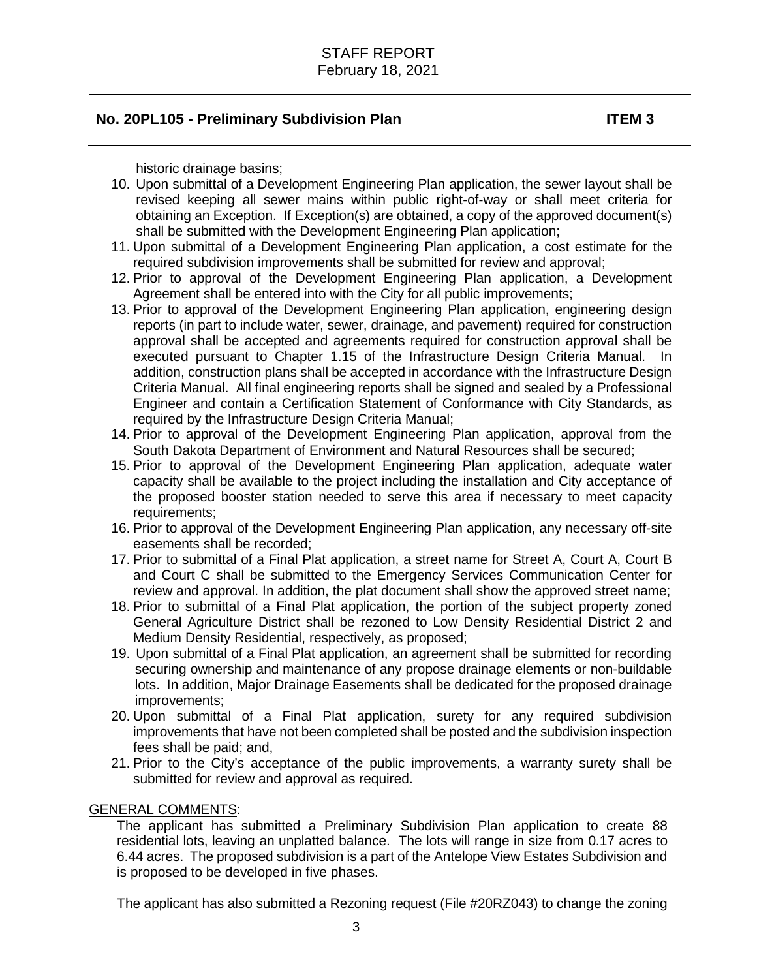historic drainage basins;

- 10. Upon submittal of a Development Engineering Plan application, the sewer layout shall be revised keeping all sewer mains within public right-of-way or shall meet criteria for obtaining an Exception. If Exception(s) are obtained, a copy of the approved document(s) shall be submitted with the Development Engineering Plan application;
- 11. Upon submittal of a Development Engineering Plan application, a cost estimate for the required subdivision improvements shall be submitted for review and approval;
- 12. Prior to approval of the Development Engineering Plan application, a Development Agreement shall be entered into with the City for all public improvements;
- 13. Prior to approval of the Development Engineering Plan application, engineering design reports (in part to include water, sewer, drainage, and pavement) required for construction approval shall be accepted and agreements required for construction approval shall be executed pursuant to Chapter 1.15 of the Infrastructure Design Criteria Manual. In addition, construction plans shall be accepted in accordance with the Infrastructure Design Criteria Manual. All final engineering reports shall be signed and sealed by a Professional Engineer and contain a Certification Statement of Conformance with City Standards, as required by the Infrastructure Design Criteria Manual;
- 14. Prior to approval of the Development Engineering Plan application, approval from the South Dakota Department of Environment and Natural Resources shall be secured;
- 15. Prior to approval of the Development Engineering Plan application, adequate water capacity shall be available to the project including the installation and City acceptance of the proposed booster station needed to serve this area if necessary to meet capacity requirements:
- 16. Prior to approval of the Development Engineering Plan application, any necessary off-site easements shall be recorded;
- 17. Prior to submittal of a Final Plat application, a street name for Street A, Court A, Court B and Court C shall be submitted to the Emergency Services Communication Center for review and approval. In addition, the plat document shall show the approved street name;
- 18. Prior to submittal of a Final Plat application, the portion of the subject property zoned General Agriculture District shall be rezoned to Low Density Residential District 2 and Medium Density Residential, respectively, as proposed;
- 19. Upon submittal of a Final Plat application, an agreement shall be submitted for recording securing ownership and maintenance of any propose drainage elements or non-buildable lots. In addition, Major Drainage Easements shall be dedicated for the proposed drainage improvements;
- 20. Upon submittal of a Final Plat application, surety for any required subdivision improvements that have not been completed shall be posted and the subdivision inspection fees shall be paid; and,
- 21. Prior to the City's acceptance of the public improvements, a warranty surety shall be submitted for review and approval as required.

#### GENERAL COMMENTS:

The applicant has submitted a Preliminary Subdivision Plan application to create 88 residential lots, leaving an unplatted balance. The lots will range in size from 0.17 acres to 6.44 acres. The proposed subdivision is a part of the Antelope View Estates Subdivision and is proposed to be developed in five phases.

The applicant has also submitted a Rezoning request (File #20RZ043) to change the zoning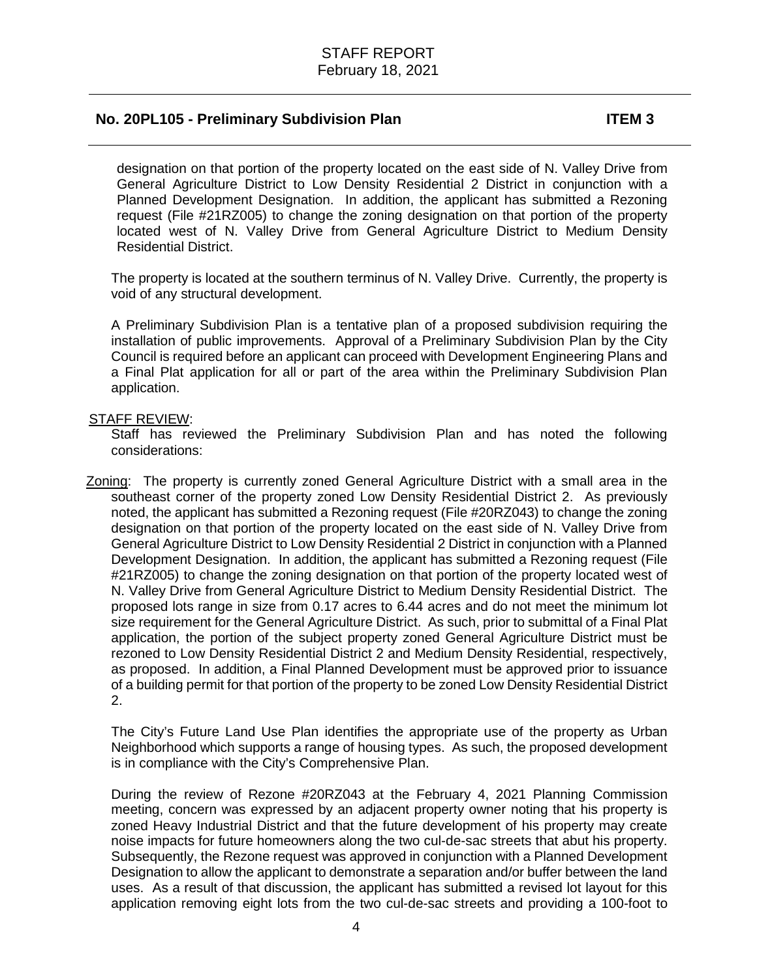designation on that portion of the property located on the east side of N. Valley Drive from General Agriculture District to Low Density Residential 2 District in conjunction with a Planned Development Designation. In addition, the applicant has submitted a Rezoning request (File #21RZ005) to change the zoning designation on that portion of the property located west of N. Valley Drive from General Agriculture District to Medium Density Residential District.

The property is located at the southern terminus of N. Valley Drive. Currently, the property is void of any structural development.

A Preliminary Subdivision Plan is a tentative plan of a proposed subdivision requiring the installation of public improvements. Approval of a Preliminary Subdivision Plan by the City Council is required before an applicant can proceed with Development Engineering Plans and a Final Plat application for all or part of the area within the Preliminary Subdivision Plan application.

#### STAFF REVIEW:

Staff has reviewed the Preliminary Subdivision Plan and has noted the following considerations:

Zoning: The property is currently zoned General Agriculture District with a small area in the southeast corner of the property zoned Low Density Residential District 2. As previously noted, the applicant has submitted a Rezoning request (File #20RZ043) to change the zoning designation on that portion of the property located on the east side of N. Valley Drive from General Agriculture District to Low Density Residential 2 District in conjunction with a Planned Development Designation. In addition, the applicant has submitted a Rezoning request (File #21RZ005) to change the zoning designation on that portion of the property located west of N. Valley Drive from General Agriculture District to Medium Density Residential District. The proposed lots range in size from 0.17 acres to 6.44 acres and do not meet the minimum lot size requirement for the General Agriculture District. As such, prior to submittal of a Final Plat application, the portion of the subject property zoned General Agriculture District must be rezoned to Low Density Residential District 2 and Medium Density Residential, respectively, as proposed. In addition, a Final Planned Development must be approved prior to issuance of a building permit for that portion of the property to be zoned Low Density Residential District 2.

The City's Future Land Use Plan identifies the appropriate use of the property as Urban Neighborhood which supports a range of housing types. As such, the proposed development is in compliance with the City's Comprehensive Plan.

During the review of Rezone #20RZ043 at the February 4, 2021 Planning Commission meeting, concern was expressed by an adjacent property owner noting that his property is zoned Heavy Industrial District and that the future development of his property may create noise impacts for future homeowners along the two cul-de-sac streets that abut his property. Subsequently, the Rezone request was approved in conjunction with a Planned Development Designation to allow the applicant to demonstrate a separation and/or buffer between the land uses. As a result of that discussion, the applicant has submitted a revised lot layout for this application removing eight lots from the two cul-de-sac streets and providing a 100-foot to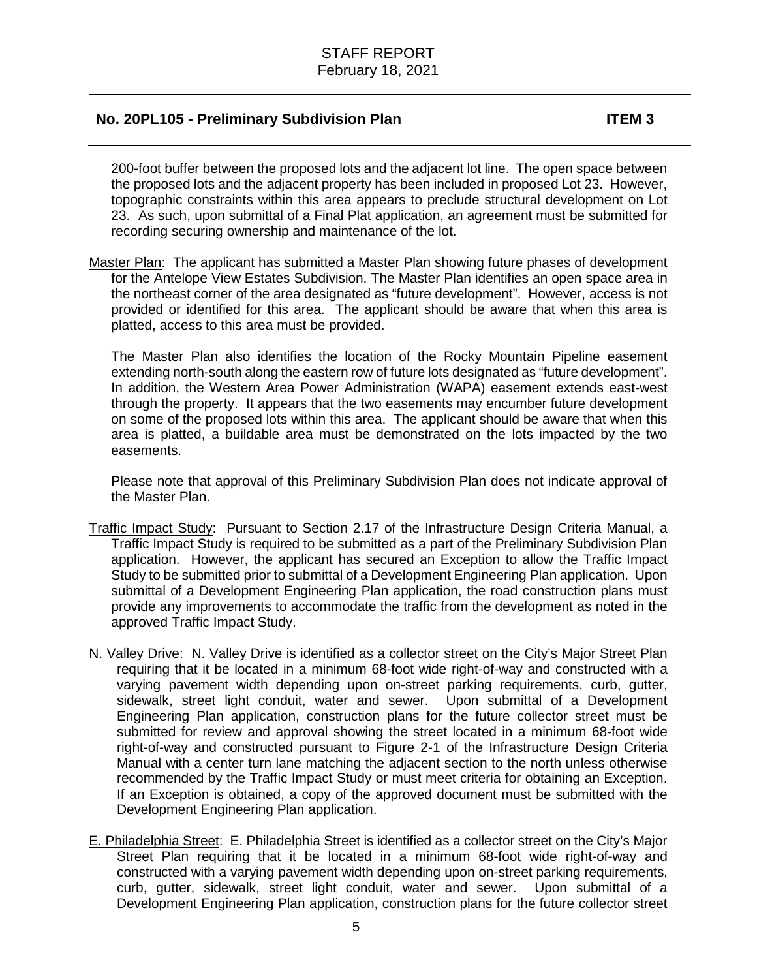200-foot buffer between the proposed lots and the adjacent lot line. The open space between the proposed lots and the adjacent property has been included in proposed Lot 23. However, topographic constraints within this area appears to preclude structural development on Lot 23. As such, upon submittal of a Final Plat application, an agreement must be submitted for recording securing ownership and maintenance of the lot.

Master Plan: The applicant has submitted a Master Plan showing future phases of development for the Antelope View Estates Subdivision. The Master Plan identifies an open space area in the northeast corner of the area designated as "future development". However, access is not provided or identified for this area. The applicant should be aware that when this area is platted, access to this area must be provided.

The Master Plan also identifies the location of the Rocky Mountain Pipeline easement extending north-south along the eastern row of future lots designated as "future development". In addition, the Western Area Power Administration (WAPA) easement extends east-west through the property. It appears that the two easements may encumber future development on some of the proposed lots within this area. The applicant should be aware that when this area is platted, a buildable area must be demonstrated on the lots impacted by the two easements.

Please note that approval of this Preliminary Subdivision Plan does not indicate approval of the Master Plan.

- Traffic Impact Study: Pursuant to Section 2.17 of the Infrastructure Design Criteria Manual, a Traffic Impact Study is required to be submitted as a part of the Preliminary Subdivision Plan application. However, the applicant has secured an Exception to allow the Traffic Impact Study to be submitted prior to submittal of a Development Engineering Plan application. Upon submittal of a Development Engineering Plan application, the road construction plans must provide any improvements to accommodate the traffic from the development as noted in the approved Traffic Impact Study.
- N. Valley Drive: N. Valley Drive is identified as a collector street on the City's Major Street Plan requiring that it be located in a minimum 68-foot wide right-of-way and constructed with a varying pavement width depending upon on-street parking requirements, curb, gutter, sidewalk, street light conduit, water and sewer. Upon submittal of a Development Engineering Plan application, construction plans for the future collector street must be submitted for review and approval showing the street located in a minimum 68-foot wide right-of-way and constructed pursuant to Figure 2-1 of the Infrastructure Design Criteria Manual with a center turn lane matching the adjacent section to the north unless otherwise recommended by the Traffic Impact Study or must meet criteria for obtaining an Exception. If an Exception is obtained, a copy of the approved document must be submitted with the Development Engineering Plan application.
- E. Philadelphia Street: E. Philadelphia Street is identified as a collector street on the City's Major Street Plan requiring that it be located in a minimum 68-foot wide right-of-way and constructed with a varying pavement width depending upon on-street parking requirements, curb, gutter, sidewalk, street light conduit, water and sewer. Upon submittal of a Development Engineering Plan application, construction plans for the future collector street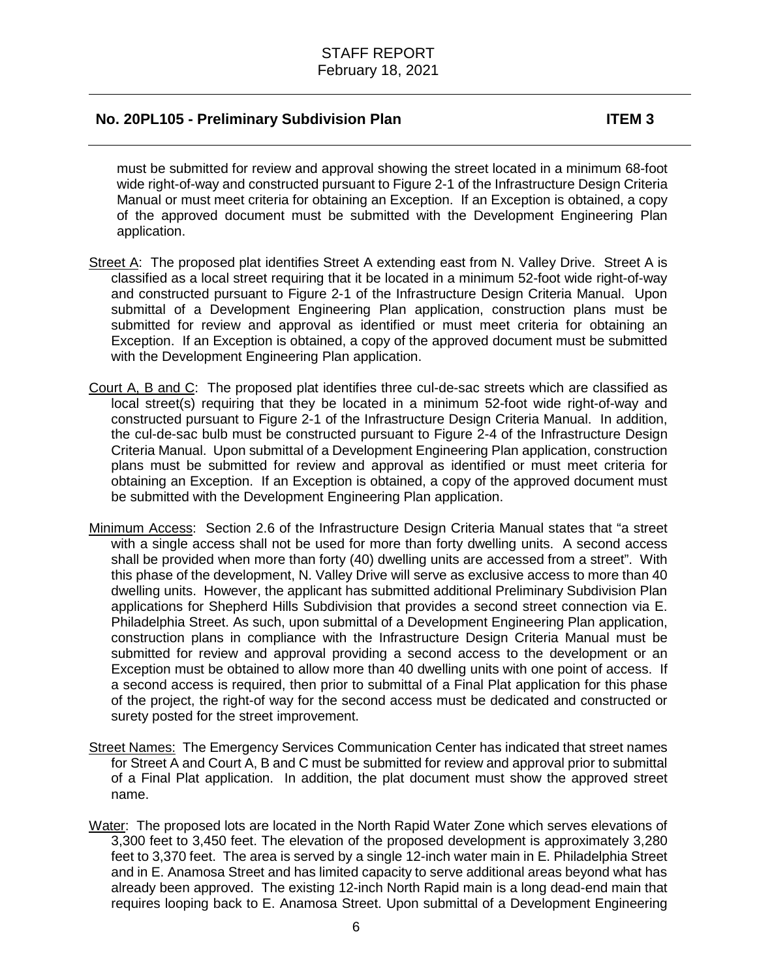must be submitted for review and approval showing the street located in a minimum 68-foot wide right-of-way and constructed pursuant to Figure 2-1 of the Infrastructure Design Criteria Manual or must meet criteria for obtaining an Exception. If an Exception is obtained, a copy of the approved document must be submitted with the Development Engineering Plan application.

- Street A: The proposed plat identifies Street A extending east from N. Valley Drive. Street A is classified as a local street requiring that it be located in a minimum 52-foot wide right-of-way and constructed pursuant to Figure 2-1 of the Infrastructure Design Criteria Manual. Upon submittal of a Development Engineering Plan application, construction plans must be submitted for review and approval as identified or must meet criteria for obtaining an Exception. If an Exception is obtained, a copy of the approved document must be submitted with the Development Engineering Plan application.
- Court A, B and C: The proposed plat identifies three cul-de-sac streets which are classified as local street(s) requiring that they be located in a minimum 52-foot wide right-of-way and constructed pursuant to Figure 2-1 of the Infrastructure Design Criteria Manual. In addition, the cul-de-sac bulb must be constructed pursuant to Figure 2-4 of the Infrastructure Design Criteria Manual. Upon submittal of a Development Engineering Plan application, construction plans must be submitted for review and approval as identified or must meet criteria for obtaining an Exception. If an Exception is obtained, a copy of the approved document must be submitted with the Development Engineering Plan application.
- Minimum Access: Section 2.6 of the Infrastructure Design Criteria Manual states that "a street with a single access shall not be used for more than forty dwelling units. A second access shall be provided when more than forty (40) dwelling units are accessed from a street". With this phase of the development, N. Valley Drive will serve as exclusive access to more than 40 dwelling units. However, the applicant has submitted additional Preliminary Subdivision Plan applications for Shepherd Hills Subdivision that provides a second street connection via E. Philadelphia Street. As such, upon submittal of a Development Engineering Plan application, construction plans in compliance with the Infrastructure Design Criteria Manual must be submitted for review and approval providing a second access to the development or an Exception must be obtained to allow more than 40 dwelling units with one point of access. If a second access is required, then prior to submittal of a Final Plat application for this phase of the project, the right-of way for the second access must be dedicated and constructed or surety posted for the street improvement.
- Street Names: The Emergency Services Communication Center has indicated that street names for Street A and Court A, B and C must be submitted for review and approval prior to submittal of a Final Plat application. In addition, the plat document must show the approved street name.
- Water: The proposed lots are located in the North Rapid Water Zone which serves elevations of 3,300 feet to 3,450 feet. The elevation of the proposed development is approximately 3,280 feet to 3,370 feet. The area is served by a single 12-inch water main in E. Philadelphia Street and in E. Anamosa Street and has limited capacity to serve additional areas beyond what has already been approved. The existing 12-inch North Rapid main is a long dead-end main that requires looping back to E. Anamosa Street. Upon submittal of a Development Engineering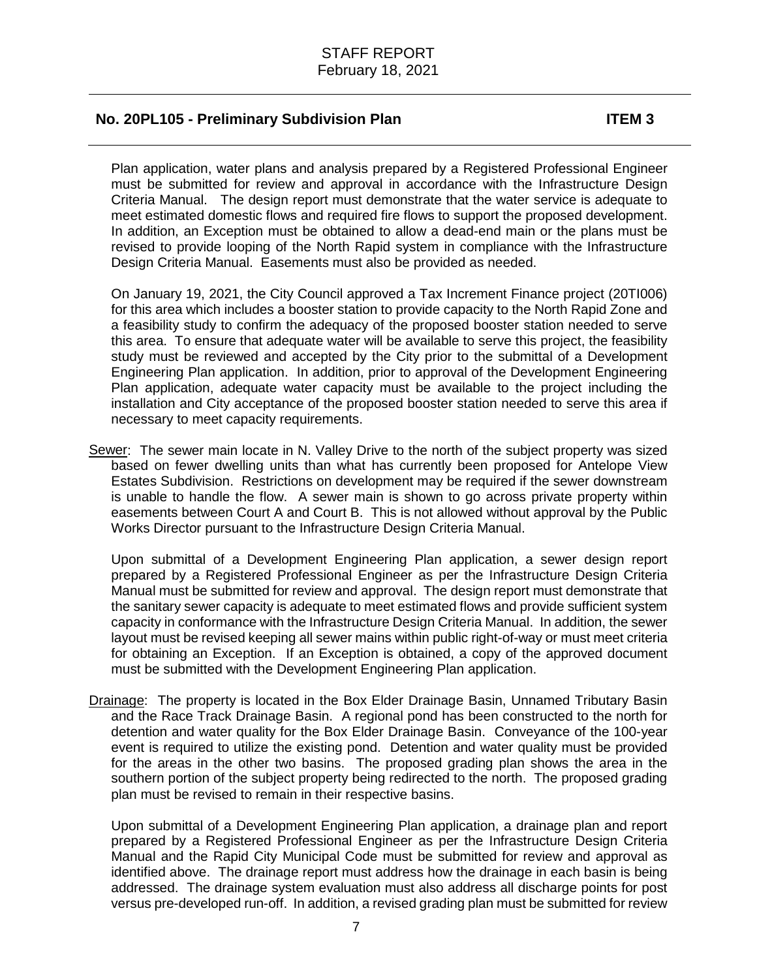Plan application, water plans and analysis prepared by a Registered Professional Engineer must be submitted for review and approval in accordance with the Infrastructure Design Criteria Manual. The design report must demonstrate that the water service is adequate to meet estimated domestic flows and required fire flows to support the proposed development. In addition, an Exception must be obtained to allow a dead-end main or the plans must be revised to provide looping of the North Rapid system in compliance with the Infrastructure Design Criteria Manual. Easements must also be provided as needed.

On January 19, 2021, the City Council approved a Tax Increment Finance project (20TI006) for this area which includes a booster station to provide capacity to the North Rapid Zone and a feasibility study to confirm the adequacy of the proposed booster station needed to serve this area. To ensure that adequate water will be available to serve this project, the feasibility study must be reviewed and accepted by the City prior to the submittal of a Development Engineering Plan application. In addition, prior to approval of the Development Engineering Plan application, adequate water capacity must be available to the project including the installation and City acceptance of the proposed booster station needed to serve this area if necessary to meet capacity requirements.

Sewer: The sewer main locate in N. Valley Drive to the north of the subject property was sized based on fewer dwelling units than what has currently been proposed for Antelope View Estates Subdivision. Restrictions on development may be required if the sewer downstream is unable to handle the flow. A sewer main is shown to go across private property within easements between Court A and Court B. This is not allowed without approval by the Public Works Director pursuant to the Infrastructure Design Criteria Manual.

Upon submittal of a Development Engineering Plan application, a sewer design report prepared by a Registered Professional Engineer as per the Infrastructure Design Criteria Manual must be submitted for review and approval. The design report must demonstrate that the sanitary sewer capacity is adequate to meet estimated flows and provide sufficient system capacity in conformance with the Infrastructure Design Criteria Manual. In addition, the sewer layout must be revised keeping all sewer mains within public right-of-way or must meet criteria for obtaining an Exception. If an Exception is obtained, a copy of the approved document must be submitted with the Development Engineering Plan application.

Drainage: The property is located in the Box Elder Drainage Basin, Unnamed Tributary Basin and the Race Track Drainage Basin. A regional pond has been constructed to the north for detention and water quality for the Box Elder Drainage Basin. Conveyance of the 100-year event is required to utilize the existing pond. Detention and water quality must be provided for the areas in the other two basins. The proposed grading plan shows the area in the southern portion of the subject property being redirected to the north. The proposed grading plan must be revised to remain in their respective basins.

Upon submittal of a Development Engineering Plan application, a drainage plan and report prepared by a Registered Professional Engineer as per the Infrastructure Design Criteria Manual and the Rapid City Municipal Code must be submitted for review and approval as identified above. The drainage report must address how the drainage in each basin is being addressed. The drainage system evaluation must also address all discharge points for post versus pre-developed run-off. In addition, a revised grading plan must be submitted for review